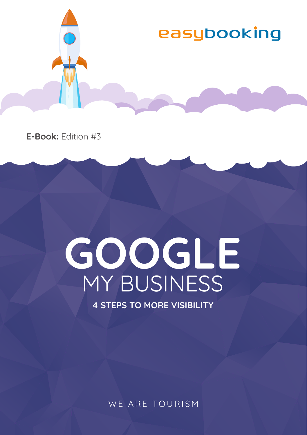

**E-Book:** Edition #3

# **GOOGLE** MY BUSINESS

**4 STEPS TO MORE VISIBILITY**

WE ARE TOURISM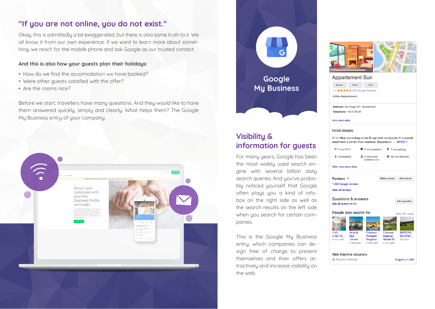# **"If you are not online, you do not exist."**

Okay, this is admittedly a bit exaggerated, but there is also some truth to it. We all know it from our own experience: if we want to learn more about something, we reach for the mobile phone and ask Google as our trusted contact.

### **And this is also how your guests plan their holidays:**

- How do we find the accomodation we have booked?
- Were other guests satisfied with the offer?
- Are the rooms nice?

Before we start, travellers have many questions. And they would like to have them answered quickly, simply and clearly. What helps them? The Google My Business entry of your company.





Ask a quastion

View 15+ more

**REITERS** 

GOLFSC.

**Colf** dab

Suggest an edit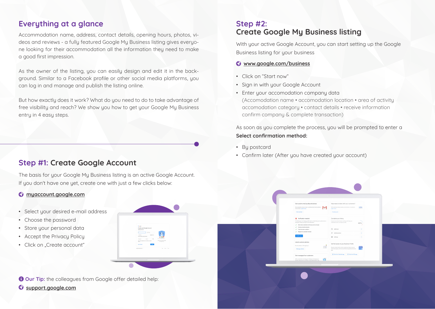# **Everything at a glance**

Accommodation name, address, contact details, opening hours, photos, videos and reviews - a fully featured Google My Business listing gives everyone looking for their accommodation all the information they need to make a good first impression.

As the owner of the listing, you can easily design and edit it in the background. Similar to a Facebook profile or other social media platforms, you can log in and manage and publish the listing online.

But how exactly does it work? What do you need to do to take advantage of free visibility and reach? We show you how to get your Google My Business entry in 4 easy steps.

## **Step #1: Create Google Account**

The basis for your Google My Business listing is an active Google Account. If you don't have one yet, create one with just a few clicks below:

## **myaccount.google.com**

- Select your desired e-mail address
- Choose the password
- Store your personal data
- Accept the Privacy Policy
- Click on "Create account"



**a** Our Tip: the colleagues from Google offer detailed help: **support.google.com**

# **Step #2: Create Google My Business listing**

With your active Google Account, you can start setting up the Google Business listing for your business

### **www.google.com/business**

- Click on "Start now"
- Sign in with your Google Account
- Enter your accomodation company data (Accomodation name • accomodation location • area of activity accomodation category • contact details • receive information confirm company & complete transaction)

As soon as you complete the process, you will be prompted to enter a **Select confirmation method:**

- By postcard
- Confirm later (After you have created your account)